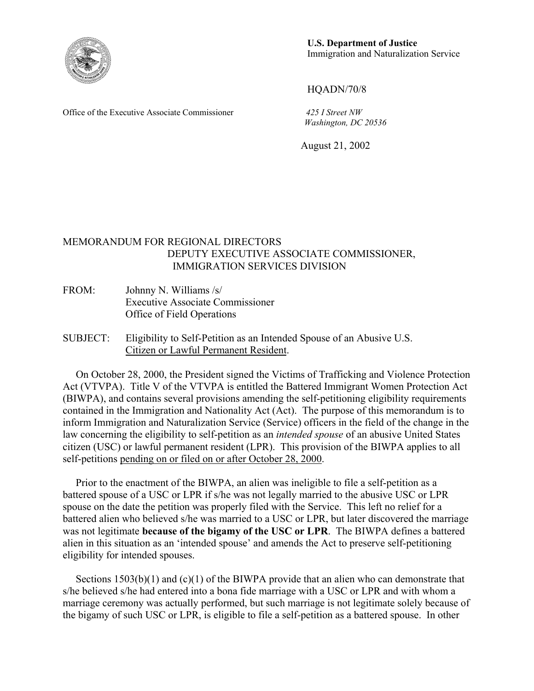

**U.S. Department of Justice** Immigration and Naturalization Service

HQADN/70/8

Office of the Executive Associate Commissioner *425 I Street NW Washington, DC 20536*

August 21, 2002

## MEMORANDUM FOR REGIONAL DIRECTORS DEPUTY EXECUTIVE ASSOCIATE COMMISSIONER, IMMIGRATION SERVICES DIVISION

- FROM: Johnny N. Williams /s/ Executive Associate Commissioner Office of Field Operations
- SUBJECT: Eligibility to Self-Petition as an Intended Spouse of an Abusive U.S. Citizen or Lawful Permanent Resident.

 On October 28, 2000, the President signed the Victims of Trafficking and Violence Protection Act (VTVPA). Title V of the VTVPA is entitled the Battered Immigrant Women Protection Act (BIWPA), and contains several provisions amending the self-petitioning eligibility requirements contained in the Immigration and Nationality Act (Act). The purpose of this memorandum is to inform Immigration and Naturalization Service (Service) officers in the field of the change in the law concerning the eligibility to self-petition as an *intended spouse* of an abusive United States citizen (USC) or lawful permanent resident (LPR). This provision of the BIWPA applies to all self-petitions pending on or filed on or after October 28, 2000.

 Prior to the enactment of the BIWPA, an alien was ineligible to file a self-petition as a battered spouse of a USC or LPR if s/he was not legally married to the abusive USC or LPR spouse on the date the petition was properly filed with the Service. This left no relief for a battered alien who believed s/he was married to a USC or LPR, but later discovered the marriage was not legitimate **because of the bigamy of the USC or LPR**. The BIWPA defines a battered alien in this situation as an 'intended spouse' and amends the Act to preserve self-petitioning eligibility for intended spouses.

Sections 1503(b)(1) and (c)(1) of the BIWPA provide that an alien who can demonstrate that s/he believed s/he had entered into a bona fide marriage with a USC or LPR and with whom a marriage ceremony was actually performed, but such marriage is not legitimate solely because of the bigamy of such USC or LPR, is eligible to file a self-petition as a battered spouse. In other